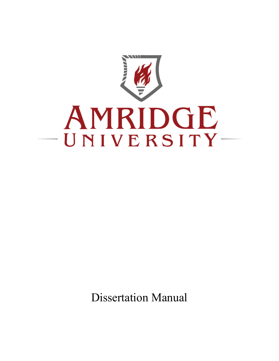

Dissertation Manual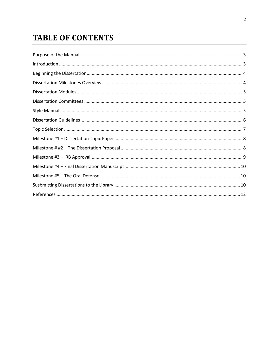# **TABLE OF CONTENTS**

| $In traditional < 3$ |  |
|----------------------|--|
|                      |  |
|                      |  |
|                      |  |
|                      |  |
|                      |  |
|                      |  |
|                      |  |
|                      |  |
|                      |  |
|                      |  |
|                      |  |
|                      |  |
|                      |  |
|                      |  |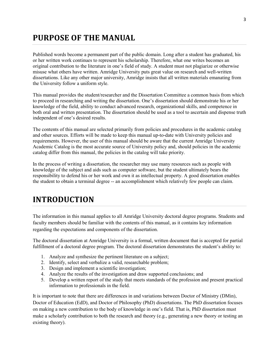# <span id="page-2-0"></span>**PURPOSE OF THE MANUAL**

Published words become a permanent part of the public domain. Long after a student has graduated, his or her written work continues to represent his scholarship. Therefore, what one writes becomes an original contribution to the literature in one's field of study. A student must not plagiarize or otherwise misuse what others have written. Amridge University puts great value on research and well-written dissertations. Like any other major university, Amridge insists that all written materials emanating from the University follow a uniform style.

This manual provides the student/researcher and the Dissertation Committee a common basis from which to proceed in researching and writing the dissertation. One's dissertation should demonstrate his or her knowledge of the field, ability to conduct advanced research, organizational skills, and competence in both oral and written presentation. The dissertation should be used as a tool to ascertain and dispense truth independent of one's desired results.

The contents of this manual are selected primarily from policies and procedures in the academic catalog and other sources. Efforts will be made to keep this manual up-to-date with University policies and requirements. However, the user of this manual should be aware that the current Amridge University Academic Catalog is the most accurate source of University policy and, should policies in the academic catalog differ from this manual, the policies in the catalog will take priority.

In the process of writing a dissertation, the researcher may use many resources such as people with knowledge of the subject and aids such as computer software, but the student ultimately bears the responsibility to defend his or her work and own it as intellectual property. A good dissertation enables the student to obtain a terminal degree -- an accomplishment which relatively few people can claim.

# <span id="page-2-1"></span>**INTRODUCTION**

The information in this manual applies to all Amridge University doctoral degree programs. Students and faculty members should be familiar with the contents of this manual, as it contains key information regarding the expectations and components of the dissertation.

The doctoral dissertation at Amridge University is a formal, written document that is accepted for partial fulfillment of a doctoral degree program. The doctoral dissertation demonstrates the student's ability to:

- 1. Analyze and synthesize the pertinent literature on a subject;
- 2. Identify, select and verbalize a valid, researchable problem;
- 3. Design and implement a scientific investigation;
- 4. Analyze the results of the investigation and draw supported conclusions; and
- 5. Develop a written report of the study that meets standards of the profession and present practical information to professionals in the field.

It is important to note that there are differences in and variations between Doctor of Ministry (DMin), Doctor of Education (EdD), and Doctor of Philosophy (PhD) dissertations. The PhD dissertation focuses on making a new contribution to the body of knowledge in one's field. That is, PhD dissertation must make a scholarly contribution to both the research and theory (e.g., generating a new theory or testing an existing theory).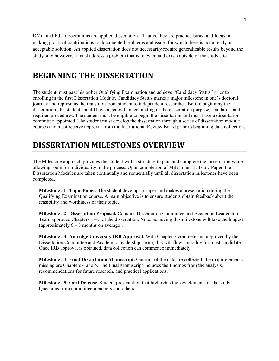DMin and EdD dissertations are applied dissertations. That is, they are practice-based and focus on making practical contributions to documented problems and issues for which there is not already an acceptable solution. An applied dissertation does not necessarily require generalizable results beyond the study site; however, it must address a problem that is relevant and exists outside of the study site.

### <span id="page-3-0"></span>**BEGINNING THE DISSERTATION**

The student must pass his or her Qualifying Examination and achieve "Candidacy Status" prior to enrolling in the first Dissertation Module. Candidacy Status marks a major milestone in one's doctoral journey and represents the transition from student to independent researcher. Before beginning the dissertation, the student should have a general understanding of the dissertation purpose, standards, and required procedures. The student must be eligible to begin the dissertation and must have a dissertation committee appointed. The student must develop the dissertation through a series of dissertation module courses and must receive approval from the Institutional Review Board prior to beginning data collection.

### <span id="page-3-1"></span>**DISSERTATION MILESTONES OVERVIEW**

The Milestone approach provides the student with a structure to plan and complete the dissertation while allowing room for individuality in the process. Upon completion of Milestone #1: Topic Paper, the Dissertation Modules are taken continually and sequentially until all dissertation milestones have been completed.

**Milestone #1: Topic Paper.** The student develops a paper and makes a presentation during the Qualifying Examination course. A main objective is to ensure students obtain feedback about the feasibility and worthiness of their topic.

**Milestone #2: Dissertation Proposal.** Contains Dissertation Committee and Academic Leadership Team approved Chapters 1 – 3 of the dissertation. Note: achieving this milestone will take the longest (approximately  $6 - 8$  months on average).

**Milestone #3: Amridge University IRB Approval.** With Chapter 3 complete and approved by the Dissertation Committee and Academic Leadership Team, this will flow smoothly for most candidates. Once IRB approval is obtained, data collection can commence immediately.

**Milestone #4: Final Dissertation Manuscript.** Once all of the data are collected, the major elements missing are Chapters 4 and 5. The Final Manuscript includes the findings from the analysis, recommendations for future research, and practical applications.

**Milestone #5: Oral Defense.** Student presentation that highlights the key elements of the study. Questions from committee members and others.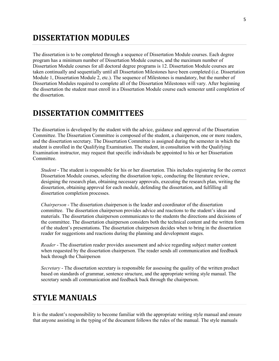### <span id="page-4-0"></span>**DISSERTATION MODULES**

The dissertation is to be completed through a sequence of Dissertation Module courses. Each degree program has a minimum number of Dissertation Module courses, and the maximum number of Dissertation Module courses for all doctoral degree programs is 12. Dissertation Module courses are taken continually and sequentially until all Dissertation Milestones have been completed (i.e. Dissertation Module 1, Dissertation Module 2, etc.). The sequence of Milestones is mandatory, but the number of Dissertation Modules required to complete all of the Dissertation Milestones will vary. After beginning the dissertation the student must enroll in a Dissertation Module course each semester until completion of the dissertation.

### <span id="page-4-1"></span>**DISSERTATION COMMITTEES**

The dissertation is developed by the student with the advice, guidance and approval of the Dissertation Committee. The Dissertation Committee is composed of the student, a chairperson, one or more readers, and the dissertation secretary. The Dissertation Committee is assigned during the semester in which the student is enrolled in the Qualifying Examination. The student, in consultation with the Qualifying Examination instructor, may request that specific individuals be appointed to his or her Dissertation Committee.

*Student* - The student is responsible for his or her dissertation. This includes registering for the correct Dissertation Module courses, selecting the dissertation topic, conducting the literature review, designing the research plan, obtaining necessary approvals, executing the research plan, writing the dissertation, obtaining approval for each module, defending the dissertation, and fulfilling all dissertation completion processes.

*Chairperson* - The dissertation chairperson is the leader and coordinator of the dissertation committee. The dissertation chairperson provides advice and reactions to the student's ideas and materials. The dissertation chairperson communicates to the students the directions and decisions of the committee. The dissertation chairperson considers both the technical content and the written form of the student's presentations. The dissertation chairperson decides when to bring in the dissertation reader for suggestions and reactions during the planning and development stages.

*Reader* - The dissertation reader provides assessment and advice regarding subject matter content when requested by the dissertation chairperson. The reader sends all communication and feedback back through the Chairperson

*Secretary* - The dissertation secretary is responsible for assessing the quality of the written product based on standards of grammar, sentence structure, and the appropriate writing style manual. The secretary sends all communication and feedback back through the chairperson.

### <span id="page-4-2"></span>**STYLE MANUALS**

It is the student's responsibility to become familiar with the appropriate writing style manual and ensure that anyone assisting in the typing of the document follows the rules of the manual. The style manuals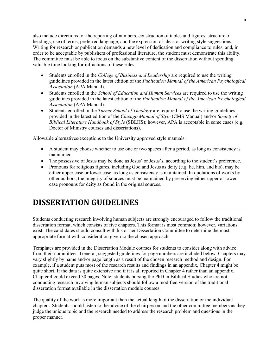also include directions for the reporting of numbers, construction of tables and figures, structure of headings, use of terms, preferred language, and the expression of ideas or writing style suggestions. Writing for research or publication demands a new level of dedication and compliance to rules, and, in order to be acceptable by publishers of professional literature, the student must demonstrate this ability. The committee must be able to focus on the substantive content of the dissertation without spending valuable time looking for infractions of these rules.

- Students enrolled in the *College of Business and Leadership* are required to use the writing guidelines provided in the latest edition of the *Publication Manual of the American Psychological Association* (APA Manual).
- Students enrolled in the *School of Education and Human Services* are required to use the writing guidelines provided in the latest edition of the *Publication Manual of the American Psychological Association* (APA Manual).
- Students enrolled in the *Turner School of Theology* are required to use the writing guidelines provided in the latest edition of the *Chicago Manual of Style* (CMS Manual) and/or *Society of Biblical Literature Handbook of Style* (SBLHS); however, APA is acceptable in some cases (e.g. Doctor of Ministry courses and dissertations).

Allowable alternatives/exceptions to the University approved style manuals:

- A student may choose whether to use one or two spaces after a period, as long as consistency is maintained.
- The possessive of Jesus may be done as Jesus' or Jesus's, according to the student's preference.
- Pronouns for religious figures, including God and Jesus as deity (e.g. he, him, and his), may be either upper case or lower case, as long as consistency is maintained. In quotations of works by other authors, the integrity of sources must be maintained by preserving either upper or lower case pronouns for deity as found in the original sources.

# <span id="page-5-0"></span>**DISSERTATION GUIDELINES**

Students conducting research involving human subjects are strongly encouraged to follow the traditional dissertation format, which consists of five chapters. This format is most common; however, variations exist. The candidates should consult with his or her Dissertation Committee to determine the most appropriate format with consideration given to the chosen approach.

Templates are provided in the Dissertation Module courses for students to consider along with advice from their committees. General, suggested guidelines for page numbers are included below. Chapters may vary slightly by name and/or page length as a result of the chosen research method and design. For example, if a student puts most of the research results and findings in an appendix, Chapter 4 might be quite short. If the data is quite extensive and if it is all reported in Chapter 4 rather than an appendix, Chapter 4 could exceed 30 pages. Note: students pursing the PhD in Biblical Studies who are not conducting research involving human subjects should follow a modified version of the traditional dissertation format available in the dissertation module courses.

The quality of the work is more important than the actual length of the dissertation or the individual chapters. Students should listen to the advice of the chairperson and the other committee members as they judge the unique topic and the research needed to address the research problem and questions in the proper manner.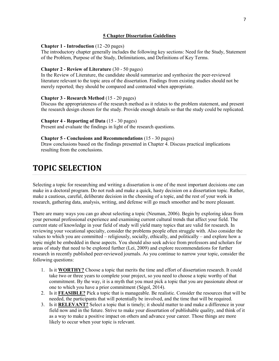#### **5 Chapter Dissertation Guidelines**

#### **Chapter 1 - Introduction** (12 -20 pages)

The introductory chapter generally includes the following key sections: Need for the Study, Statement of the Problem, Purpose of the Study, Delimitations, and Definitions of Key Terms.

#### **Chapter 2 - Review of Literature** (30 - 50 pages)

In the Review of Literature, the candidate should summarize and synthesize the peer-reviewed literature relevant to the topic area of the dissertation. Findings from existing studies should not be merely reported; they should be compared and contrasted when appropriate.

#### **Chapter 3 - Research Method** (15 - 20 pages)

Discuss the appropriateness of the research method as it relates to the problem statement, and present the research design chosen for the study. Provide enough details so that the study could be replicated.

#### **Chapter 4 - Reporting of Data** (15 - 30 pages)

Present and evaluate the findings in light of the research questions.

#### **Chapter 5 - Conclusions and Recommendations** (15 - 30 pages)

Draw conclusions based on the findings presented in Chapter 4. Discuss practical implications resulting from the conclusions.

### <span id="page-6-0"></span>**TOPIC SELECTION**

Selecting a topic for researching and writing a dissertation is one of the most important decisions one can make in a doctoral program. Do not rush and make a quick, hasty decision on a dissertation topic. Rather, make a cautious, careful, deliberate decision in the choosing of a topic, and the rest of your work in research, gathering data, analysis, writing, and defense will go much smoother and be more pleasant.

There are many ways you can go about selecting a topic (Neuman, 2006). Begin by exploring ideas from your personal professional experience and examining current cultural trends that affect your field. The current state of knowledge in your field of study will yield many topics that are valid for research. In reviewing your vocational specialty, consider the problems people often struggle with. Also consider the values to which you are committed – religiously, socially, ethically, and politically – and explore how a topic might be embedded in these aspects. You should also seek advice from professors and scholars for areas of study that need to be explored further (Lei, 2009) and explore recommendations for further research in recently published peer-reviewed journals. As you continue to narrow your topic, consider the following questions:

- 1. Is it **WORTHY?** Choose a topic that merits the time and effort of dissertation research. It could take two or three years to complete your project, so you need to choose a topic worthy of that commitment. By the way, it is a myth that you must pick a topic that you are passionate about or one to which you have a prior commitment (Ségol, 2014).
- 2. Is it **FEASIBLE?** Pick a topic that is manageable. Be realistic. Consider the resources that will be needed, the participants that will potentially be involved, and the time that will be required.
- 3. Is it **RELEVANT?** Select a topic that is timely; it should matter to and make a difference in your field now and in the future. Strive to make your dissertation of publishable quality, and think of it as a way to make a positive impact on others and advance your career. Those things are more likely to occur when your topic is relevant.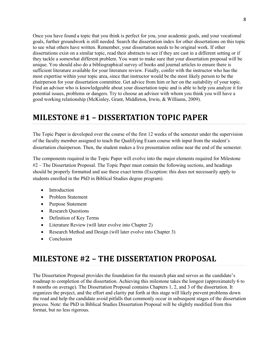Once you have found a topic that you think is perfect for you, your academic goals, and your vocational goals, further groundwork is still needed. Search the dissertation index for other dissertations on this topic to see what others have written. Remember, your dissertation needs to be original work. If other dissertations exist on a similar topic, read their abstracts to see if they are cast in a different setting or if they tackle a somewhat different problem. You want to make sure that your dissertation proposal will be unique. You should also do a bibliographical survey of books and journal articles to ensure there is sufficient literature available for your literature review. Finally, confer with the instructor who has the most expertise within your topic area, since that instructor would be the most likely person to be the chairperson for your dissertation committee. Get advice from him or her on the suitability of your topic. Find an advisor who is knowledgeable about your dissertation topic and is able to help you analyze it for potential issues, problems or dangers. Try to choose an advisor with whom you think you will have a good working relationship (McKinley, Grant, Middleton, Irwin, & Williams, 2009).

### <span id="page-7-0"></span>**MILESTONE #1 – DISSERTATION TOPIC PAPER**

The Topic Paper is developed over the course of the first 12 weeks of the semester under the supervision of the faculty member assigned to teach the Qualifying Exam course with input from the student's dissertation chairperson. Then, the student makes a live presentation online near the end of the semester.

The components required in the Topic Paper will evolve into the major elements required for Milestone #2 – The Dissertation Proposal. The Topic Paper must contain the following sections, and headings should be properly formatted and use these exact terms (Exception: this does not necessarily apply to students enrolled in the PhD in Biblical Studies degree program).

- **Introduction**
- Problem Statement
- Purpose Statement
- Research Questions
- Definition of Key Terms
- Literature Review (will later evolve into Chapter 2)
- Research Method and Design (will later evolve into Chapter 3)
- Conclusion

### <span id="page-7-1"></span>**MILESTONE #2 – THE DISSERTATION PROPOSAL**

The Dissertation Proposal provides the foundation for the research plan and serves as the candidate's roadmap to completion of the dissertation. Achieving this milestone takes the longest (approximately 6 to 8 months on average). The Dissertation Proposal contains Chapters 1, 2, and 3 of the dissertation. It organizes the project, and the effort and clarity put forth at this stage will likely prevent problems down the road and help the candidate avoid pitfalls that commonly occur in subsequent stages of the dissertation process. Note: the PhD in Biblical Studies Dissertation Proposal will be slightly modified from this format, but no less rigorous.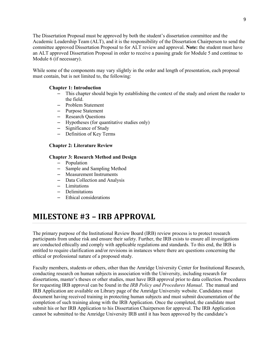The Dissertation Proposal must be approved by both the student's dissertation committee and the Academic Leadership Team (ALT), and it is the responsibility of the Dissertation Chairperson to send the committee approved Dissertation Proposal to for ALT review and approval. **Note:** the student must have an ALT approved Dissertation Proposal in order to receive a passing grade for Module 5 and continue to Module 6 (if necessary).

While some of the components may vary slightly in the order and length of presentation, each proposal must contain, but is not limited to, the following:

#### **Chapter 1: Introduction**

- This chapter should begin by establishing the context of the study and orient the reader to the field.
- Problem Statement
- Purpose Statement
- Research Questions
- Hypotheses (for quantitative studies only)
- Significance of Study
- Definition of Key Terms

#### **Chapter 2: Literature Review**

#### **Chapter 3: Research Method and Design**

- Population
- Sample and Sampling Method
- Measurement Instruments
- Data Collection and Analysis
- Limitations
- Delimitations
- Ethical considerations

### <span id="page-8-0"></span>**MILESTONE #3 – IRB APPROVAL**

The primary purpose of the Institutional Review Board (IRB) review process is to protect research participants from undue risk and ensure their safety. Further, the IRB exists to ensure all investigations are conducted ethically and comply with applicable regulations and standards. To this end, the IRB is entitled to require clarification and/or revisions in instances where there are questions concerning the ethical or professional nature of a proposed study.

Faculty members, students or others, other than the Amridge University Center for Institutional Research, conducting research on human subjects in association with the University, including research for dissertations, master's theses or other studies, must have IRB approval prior to data collection. Procedures for requesting IRB approval can be found in the *IRB Policy and Procedures Manual*. The manual and IRB Application are available on Library page of the Amridge University website. Candidates must document having received training in protecting human subjects and must submit documentation of the completion of such training along with the IRB Application. Once the completed, the candidate must submit his or her IRB Application to his Dissertation Chairperson for approval. The IRB Application cannot be submitted to the Amridge University IRB until it has been approved by the candidate's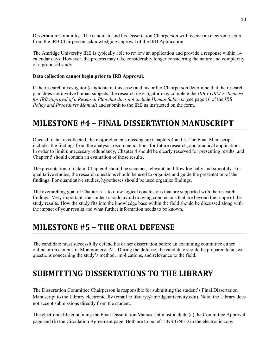Dissertation Committee. The candidate and his Dissertation Chairperson will receive an electronic letter from the IRB Chairperson acknowledging approval of the IRB Application.

The Amridge University IRB is typically able to review an application and provide a response within 14 calendar days. However, the process may take considerably longer considering the nature and complexity of a proposed study.

#### **Data collection cannot begin prior to IRB Approval.**

If the research investigator (candidate in this case) and his or her Chairperson determine that the research plan does not involve human subjects, the research investigator may complete the *IRB FORM 2- Request for IRB Approval of a Research Plan that does not include Human Subjects* (see page 16 of the *IRB Policy and Procedures Manual*) and submit to the IRB as instructed on the form.

### <span id="page-9-0"></span>**MILESTONE #4 – FINAL DISSERTATION MANUSCRIPT**

Once all data are collected, the major elements missing are Chapters 4 and 5. The Final Manuscript includes the findings from the analysis, recommendations for future research, and practical applications. In order to limit unnecessary redundancy, Chapter 4 should be clearly reserved for presenting results, and Chapter 5 should contain an evaluation of those results.

The presentation of data in Chapter 4 should be succinct, relevant, and flow logically and smoothly. For qualitative studies, the research questions should be used to organize and guide the presentation of the findings. For quantitative studies, hypotheses should be used organize findings.

The overarching goal of Chapter 5 is to draw logical conclusions that are supported with the research findings. Very important: the student should avoid drawing conclusions that are beyond the scope of the study results. How the study fits into the knowledge base within the field should be discussed along with the impact of your results and what further information needs to be known.

### <span id="page-9-1"></span>**MILESTONE #5 – THE ORAL DEFENSE**

The candidate must successfully defend his or her dissertation before an examining committee either online or on campus in Montgomery, AL. During the defense, the candidate should be prepared to answer questions concerning the study's method, implications, and relevance to the field.

# <span id="page-9-2"></span>**SUBMITTING DISSERTATIONS TO THE LIBRARY**

The Dissertation Committee Chairperson is responsible for submitting the student's Final Dissertation Manuscript to the Library electronically (email to library@amridgeuniversity.edu). Note: the Library does not accept submissions directly from the student.

The electronic file containing the Final Dissertation Manuscript must include (a) the Committee Approval page and (b) the Circulation Agreement page. Both are to be left UNSIGNED in the electronic copy.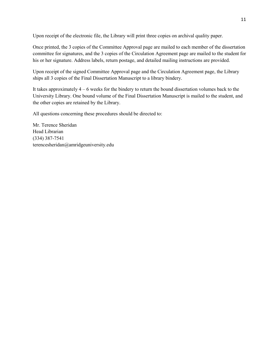Upon receipt of the electronic file, the Library will print three copies on archival quality paper.

Once printed, the 3 copies of the Committee Approval page are mailed to each member of the dissertation committee for signatures, and the 3 copies of the Circulation Agreement page are mailed to the student for his or her signature. Address labels, return postage, and detailed mailing instructions are provided.

Upon receipt of the signed Committee Approval page and the Circulation Agreement page, the Library ships all 3 copies of the Final Dissertation Manuscript to a library bindery.

It takes approximately 4 – 6 weeks for the bindery to return the bound dissertation volumes back to the University Library. One bound volume of the Final Dissertation Manuscript is mailed to the student, and the other copies are retained by the Library.

All questions concerning these procedures should be directed to:

Mr. Terence Sheridan Head Librarian (334) 387-7541 terencesheridan@amridgeuniversity.edu